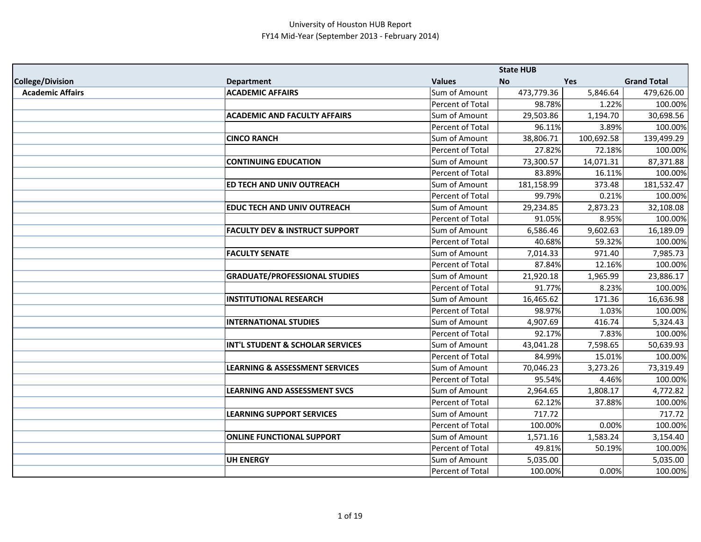|                         |                                           |                  | <b>State HUB</b> |            |                    |
|-------------------------|-------------------------------------------|------------------|------------------|------------|--------------------|
| <b>College/Division</b> | <b>Department</b>                         | <b>Values</b>    | <b>No</b>        | <b>Yes</b> | <b>Grand Total</b> |
| <b>Academic Affairs</b> | <b>ACADEMIC AFFAIRS</b>                   | Sum of Amount    | 473,779.36       | 5,846.64   | 479,626.00         |
|                         |                                           | Percent of Total | 98.78%           | 1.22%      | 100.00%            |
|                         | <b>ACADEMIC AND FACULTY AFFAIRS</b>       | Sum of Amount    | 29,503.86        | 1,194.70   | 30,698.56          |
|                         |                                           | Percent of Total | 96.11%           | 3.89%      | 100.00%            |
|                         | <b>CINCO RANCH</b>                        | Sum of Amount    | 38,806.71        | 100,692.58 | 139,499.29         |
|                         |                                           | Percent of Total | 27.82%           | 72.18%     | 100.00%            |
|                         | <b>CONTINUING EDUCATION</b>               | Sum of Amount    | 73,300.57        | 14,071.31  | 87,371.88          |
|                         |                                           | Percent of Total | 83.89%           | 16.11%     | 100.00%            |
|                         | <b>ED TECH AND UNIV OUTREACH</b>          | Sum of Amount    | 181,158.99       | 373.48     | 181,532.47         |
|                         |                                           | Percent of Total | 99.79%           | 0.21%      | 100.00%            |
|                         | <b>EDUC TECH AND UNIV OUTREACH</b>        | Sum of Amount    | 29,234.85        | 2,873.23   | 32,108.08          |
|                         |                                           | Percent of Total | 91.05%           | 8.95%      | 100.00%            |
|                         | <b>FACULTY DEV &amp; INSTRUCT SUPPORT</b> | Sum of Amount    | 6,586.46         | 9,602.63   | 16,189.09          |
|                         |                                           | Percent of Total | 40.68%           | 59.32%     | 100.00%            |
|                         | <b>FACULTY SENATE</b>                     | Sum of Amount    | 7,014.33         | 971.40     | 7,985.73           |
|                         |                                           | Percent of Total | 87.84%           | 12.16%     | 100.00%            |
|                         | <b>GRADUATE/PROFESSIONAL STUDIES</b>      | Sum of Amount    | 21,920.18        | 1,965.99   | 23,886.17          |
|                         |                                           | Percent of Total | 91.77%           | 8.23%      | 100.00%            |
|                         | <b>INSTITUTIONAL RESEARCH</b>             | Sum of Amount    | 16,465.62        | 171.36     | 16,636.98          |
|                         |                                           | Percent of Total | 98.97%           | 1.03%      | 100.00%            |
|                         | <b>INTERNATIONAL STUDIES</b>              | Sum of Amount    | 4,907.69         | 416.74     | 5,324.43           |
|                         |                                           | Percent of Total | 92.17%           | 7.83%      | 100.00%            |
|                         | INT'L STUDENT & SCHOLAR SERVICES          | Sum of Amount    | 43,041.28        | 7,598.65   | 50,639.93          |
|                         |                                           | Percent of Total | 84.99%           | 15.01%     | 100.00%            |
|                         | <b>LEARNING &amp; ASSESSMENT SERVICES</b> | Sum of Amount    | 70,046.23        | 3,273.26   | 73,319.49          |
|                         |                                           | Percent of Total | 95.54%           | 4.46%      | 100.00%            |
|                         | <b>LEARNING AND ASSESSMENT SVCS</b>       | Sum of Amount    | 2,964.65         | 1,808.17   | 4,772.82           |
|                         |                                           | Percent of Total | 62.12%           | 37.88%     | 100.00%            |
|                         | <b>LEARNING SUPPORT SERVICES</b>          | Sum of Amount    | 717.72           |            | 717.72             |
|                         |                                           | Percent of Total | 100.00%          | 0.00%      | 100.00%            |
|                         | <b>ONLINE FUNCTIONAL SUPPORT</b>          | Sum of Amount    | 1,571.16         | 1,583.24   | 3,154.40           |
|                         |                                           | Percent of Total | 49.81%           | 50.19%     | 100.00%            |
|                         | <b>UH ENERGY</b>                          | Sum of Amount    | 5,035.00         |            | 5,035.00           |
|                         |                                           | Percent of Total | 100.00%          | 0.00%      | 100.00%            |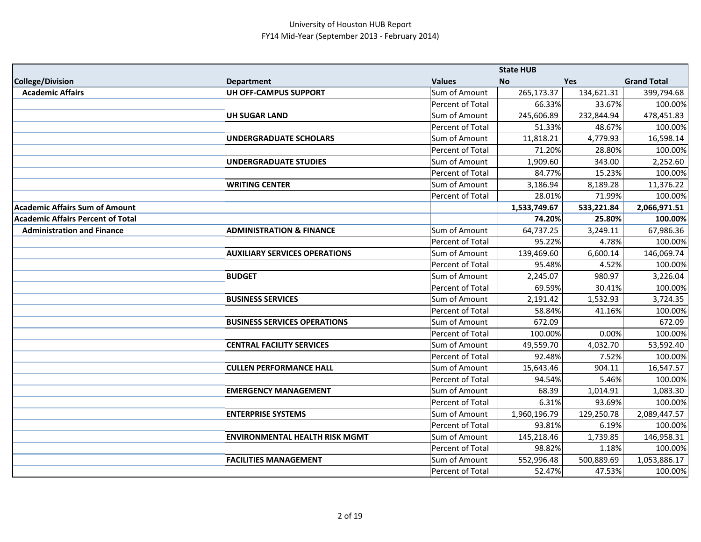|                                          |                                       |                         | <b>State HUB</b> |            |                    |
|------------------------------------------|---------------------------------------|-------------------------|------------------|------------|--------------------|
| <b>College/Division</b>                  | <b>Department</b>                     | <b>Values</b>           | <b>No</b>        | <b>Yes</b> | <b>Grand Total</b> |
| <b>Academic Affairs</b>                  | UH OFF-CAMPUS SUPPORT                 | Sum of Amount           | 265,173.37       | 134,621.31 | 399,794.68         |
|                                          |                                       | <b>Percent of Total</b> | 66.33%           | 33.67%     | 100.00%            |
|                                          | <b>UH SUGAR LAND</b>                  | Sum of Amount           | 245,606.89       | 232,844.94 | 478,451.83         |
|                                          |                                       | Percent of Total        | 51.33%           | 48.67%     | 100.00%            |
|                                          | <b>UNDERGRADUATE SCHOLARS</b>         | Sum of Amount           | 11,818.21        | 4,779.93   | 16,598.14          |
|                                          |                                       | Percent of Total        | 71.20%           | 28.80%     | 100.00%            |
|                                          | <b>UNDERGRADUATE STUDIES</b>          | Sum of Amount           | 1,909.60         | 343.00     | 2,252.60           |
|                                          |                                       | Percent of Total        | 84.77%           | 15.23%     | 100.00%            |
|                                          | <b>WRITING CENTER</b>                 | Sum of Amount           | 3,186.94         | 8,189.28   | 11,376.22          |
|                                          |                                       | Percent of Total        | 28.01%           | 71.99%     | 100.00%            |
| <b>Academic Affairs Sum of Amount</b>    |                                       |                         | 1,533,749.67     | 533,221.84 | 2,066,971.51       |
| <b>Academic Affairs Percent of Total</b> |                                       |                         | 74.20%           | 25.80%     | 100.00%            |
| <b>Administration and Finance</b>        | <b>ADMINISTRATION &amp; FINANCE</b>   | Sum of Amount           | 64,737.25        | 3,249.11   | 67,986.36          |
|                                          |                                       | Percent of Total        | 95.22%           | 4.78%      | 100.00%            |
|                                          | <b>AUXILIARY SERVICES OPERATIONS</b>  | Sum of Amount           | 139,469.60       | 6,600.14   | 146,069.74         |
|                                          |                                       | Percent of Total        | 95.48%           | 4.52%      | 100.00%            |
|                                          | <b>BUDGET</b>                         | Sum of Amount           | 2,245.07         | 980.97     | 3,226.04           |
|                                          |                                       | Percent of Total        | 69.59%           | 30.41%     | 100.00%            |
|                                          | <b>BUSINESS SERVICES</b>              | Sum of Amount           | 2,191.42         | 1,532.93   | 3,724.35           |
|                                          |                                       | Percent of Total        | 58.84%           | 41.16%     | 100.00%            |
|                                          | <b>BUSINESS SERVICES OPERATIONS</b>   | Sum of Amount           | 672.09           |            | 672.09             |
|                                          |                                       | Percent of Total        | 100.00%          | 0.00%      | 100.00%            |
|                                          | <b>CENTRAL FACILITY SERVICES</b>      | Sum of Amount           | 49,559.70        | 4,032.70   | 53,592.40          |
|                                          |                                       | Percent of Total        | 92.48%           | 7.52%      | 100.00%            |
|                                          | <b>CULLEN PERFORMANCE HALL</b>        | Sum of Amount           | 15,643.46        | 904.11     | 16,547.57          |
|                                          |                                       | Percent of Total        | 94.54%           | 5.46%      | 100.00%            |
|                                          | <b>EMERGENCY MANAGEMENT</b>           | Sum of Amount           | 68.39            | 1,014.91   | 1,083.30           |
|                                          |                                       | Percent of Total        | 6.31%            | 93.69%     | 100.00%            |
|                                          | <b>ENTERPRISE SYSTEMS</b>             | Sum of Amount           | 1,960,196.79     | 129,250.78 | 2,089,447.57       |
|                                          |                                       | Percent of Total        | 93.81%           | 6.19%      | 100.00%            |
|                                          | <b>ENVIRONMENTAL HEALTH RISK MGMT</b> | Sum of Amount           | 145,218.46       | 1,739.85   | 146,958.31         |
|                                          |                                       | Percent of Total        | 98.82%           | 1.18%      | 100.00%            |
|                                          | <b>FACILITIES MANAGEMENT</b>          | Sum of Amount           | 552,996.48       | 500,889.69 | 1,053,886.17       |
|                                          |                                       | Percent of Total        | 52.47%           | 47.53%     | 100.00%            |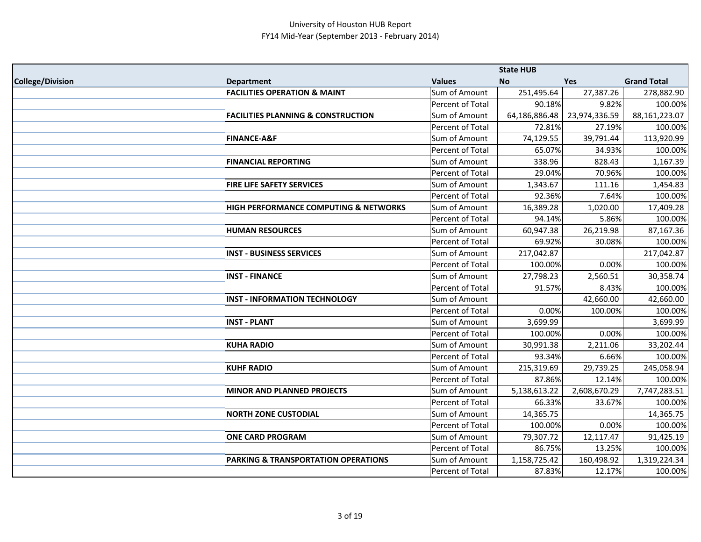|                         |                                                |                         | <b>State HUB</b> |               |                    |
|-------------------------|------------------------------------------------|-------------------------|------------------|---------------|--------------------|
| <b>College/Division</b> | <b>Department</b>                              | <b>Values</b>           | <b>No</b>        | <b>Yes</b>    | <b>Grand Total</b> |
|                         | <b>FACILITIES OPERATION &amp; MAINT</b>        | Sum of Amount           | 251,495.64       | 27,387.26     | 278,882.90         |
|                         |                                                | Percent of Total        | 90.18%           | 9.82%         | 100.00%            |
|                         | <b>FACILITIES PLANNING &amp; CONSTRUCTION</b>  | Sum of Amount           | 64,186,886.48    | 23,974,336.59 | 88,161,223.07      |
|                         |                                                | Percent of Total        | 72.81%           | 27.19%        | 100.00%            |
|                         | <b>FINANCE-A&amp;F</b>                         | Sum of Amount           | 74,129.55        | 39,791.44     | 113,920.99         |
|                         |                                                | Percent of Total        | 65.07%           | 34.93%        | 100.00%            |
|                         | <b>FINANCIAL REPORTING</b>                     | Sum of Amount           | 338.96           | 828.43        | 1,167.39           |
|                         |                                                | Percent of Total        | 29.04%           | 70.96%        | 100.00%            |
|                         | FIRE LIFE SAFETY SERVICES                      | Sum of Amount           | 1,343.67         | 111.16        | 1,454.83           |
|                         |                                                | Percent of Total        | 92.36%           | 7.64%         | 100.00%            |
|                         | HIGH PERFORMANCE COMPUTING & NETWORKS          | Sum of Amount           | 16,389.28        | 1,020.00      | 17,409.28          |
|                         |                                                | Percent of Total        | 94.14%           | 5.86%         | 100.00%            |
|                         | <b>HUMAN RESOURCES</b>                         | Sum of Amount           | 60,947.38        | 26,219.98     | 87,167.36          |
|                         |                                                | Percent of Total        | 69.92%           | 30.08%        | 100.00%            |
|                         | <b>INST - BUSINESS SERVICES</b>                | Sum of Amount           | 217,042.87       |               | 217,042.87         |
|                         |                                                | Percent of Total        | 100.00%          | 0.00%         | 100.00%            |
|                         | <b>INST - FINANCE</b>                          | Sum of Amount           | 27,798.23        | 2,560.51      | 30,358.74          |
|                         |                                                | Percent of Total        | 91.57%           | 8.43%         | 100.00%            |
|                         | <b>INST - INFORMATION TECHNOLOGY</b>           | Sum of Amount           |                  | 42,660.00     | 42,660.00          |
|                         |                                                | Percent of Total        | 0.00%            | 100.00%       | 100.00%            |
|                         | <b>INST - PLANT</b>                            | Sum of Amount           | 3,699.99         |               | 3,699.99           |
|                         |                                                | Percent of Total        | 100.00%          | 0.00%         | 100.00%            |
|                         | <b>KUHA RADIO</b>                              | Sum of Amount           | 30,991.38        | 2,211.06      | 33,202.44          |
|                         |                                                | <b>Percent of Total</b> | 93.34%           | 6.66%         | 100.00%            |
|                         | <b>KUHF RADIO</b>                              | Sum of Amount           | 215,319.69       | 29,739.25     | 245,058.94         |
|                         |                                                | Percent of Total        | 87.86%           | 12.14%        | 100.00%            |
|                         | <b>MINOR AND PLANNED PROJECTS</b>              | Sum of Amount           | 5,138,613.22     | 2,608,670.29  | 7,747,283.51       |
|                         |                                                | Percent of Total        | 66.33%           | 33.67%        | 100.00%            |
|                         | <b>NORTH ZONE CUSTODIAL</b>                    | Sum of Amount           | 14,365.75        |               | 14,365.75          |
|                         |                                                | Percent of Total        | 100.00%          | 0.00%         | 100.00%            |
|                         | <b>ONE CARD PROGRAM</b>                        | Sum of Amount           | 79,307.72        | 12,117.47     | 91,425.19          |
|                         |                                                | Percent of Total        | 86.75%           | 13.25%        | 100.00%            |
|                         | <b>PARKING &amp; TRANSPORTATION OPERATIONS</b> | Sum of Amount           | 1,158,725.42     | 160,498.92    | 1,319,224.34       |
|                         |                                                | Percent of Total        | 87.83%           | 12.17%        | 100.00%            |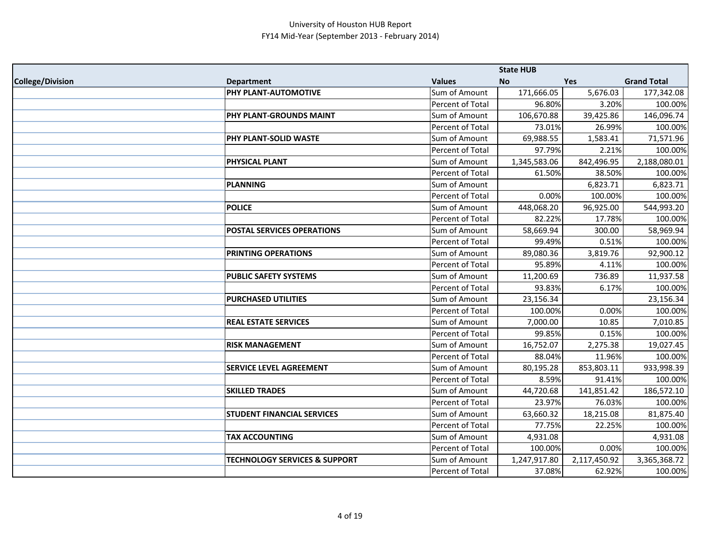|                         |                                          |                  | <b>State HUB</b> |              |                    |
|-------------------------|------------------------------------------|------------------|------------------|--------------|--------------------|
| <b>College/Division</b> | <b>Department</b>                        | <b>Values</b>    | No               | Yes          | <b>Grand Total</b> |
|                         | <b>PHY PLANT-AUTOMOTIVE</b>              | Sum of Amount    | 171,666.05       | 5,676.03     | 177,342.08         |
|                         |                                          | Percent of Total | 96.80%           | 3.20%        | 100.00%            |
|                         | PHY PLANT-GROUNDS MAINT                  | Sum of Amount    | 106,670.88       | 39,425.86    | 146,096.74         |
|                         |                                          | Percent of Total | 73.01%           | 26.99%       | 100.00%            |
|                         | PHY PLANT-SOLID WASTE                    | Sum of Amount    | 69,988.55        | 1,583.41     | 71,571.96          |
|                         |                                          | Percent of Total | 97.79%           | 2.21%        | 100.00%            |
|                         | <b>PHYSICAL PLANT</b>                    | Sum of Amount    | 1,345,583.06     | 842,496.95   | 2,188,080.01       |
|                         |                                          | Percent of Total | 61.50%           | 38.50%       | 100.00%            |
|                         | PLANNING                                 | Sum of Amount    |                  | 6,823.71     | 6,823.71           |
|                         |                                          | Percent of Total | 0.00%            | 100.00%      | 100.00%            |
|                         | <b>POLICE</b>                            | Sum of Amount    | 448,068.20       | 96,925.00    | 544,993.20         |
|                         |                                          | Percent of Total | 82.22%           | 17.78%       | 100.00%            |
|                         | <b>POSTAL SERVICES OPERATIONS</b>        | Sum of Amount    | 58,669.94        | 300.00       | 58,969.94          |
|                         |                                          | Percent of Total | 99.49%           | 0.51%        | 100.00%            |
|                         | <b>PRINTING OPERATIONS</b>               | Sum of Amount    | 89,080.36        | 3,819.76     | 92,900.12          |
|                         |                                          | Percent of Total | 95.89%           | 4.11%        | 100.00%            |
|                         | <b>PUBLIC SAFETY SYSTEMS</b>             | Sum of Amount    | 11,200.69        | 736.89       | 11,937.58          |
|                         |                                          | Percent of Total | 93.83%           | 6.17%        | 100.00%            |
|                         | <b>PURCHASED UTILITIES</b>               | Sum of Amount    | 23,156.34        |              | 23,156.34          |
|                         |                                          | Percent of Total | 100.00%          | 0.00%        | 100.00%            |
|                         | <b>REAL ESTATE SERVICES</b>              | Sum of Amount    | 7,000.00         | 10.85        | 7,010.85           |
|                         |                                          | Percent of Total | 99.85%           | 0.15%        | 100.00%            |
|                         | <b>RISK MANAGEMENT</b>                   | Sum of Amount    | 16,752.07        | 2,275.38     | 19,027.45          |
|                         |                                          | Percent of Total | 88.04%           | 11.96%       | 100.00%            |
|                         | <b>SERVICE LEVEL AGREEMENT</b>           | Sum of Amount    | 80,195.28        | 853,803.11   | 933,998.39         |
|                         |                                          | Percent of Total | 8.59%            | 91.41%       | 100.00%            |
|                         | <b>SKILLED TRADES</b>                    | Sum of Amount    | 44,720.68        | 141,851.42   | 186,572.10         |
|                         |                                          | Percent of Total | 23.97%           | 76.03%       | 100.00%            |
|                         | <b>STUDENT FINANCIAL SERVICES</b>        | Sum of Amount    | 63,660.32        | 18,215.08    | 81,875.40          |
|                         |                                          | Percent of Total | 77.75%           | 22.25%       | 100.00%            |
|                         | <b>TAX ACCOUNTING</b>                    | Sum of Amount    | 4,931.08         |              | 4,931.08           |
|                         |                                          | Percent of Total | 100.00%          | 0.00%        | 100.00%            |
|                         | <b>TECHNOLOGY SERVICES &amp; SUPPORT</b> | Sum of Amount    | 1,247,917.80     | 2,117,450.92 | 3,365,368.72       |
|                         |                                          | Percent of Total | 37.08%           | 62.92%       | 100.00%            |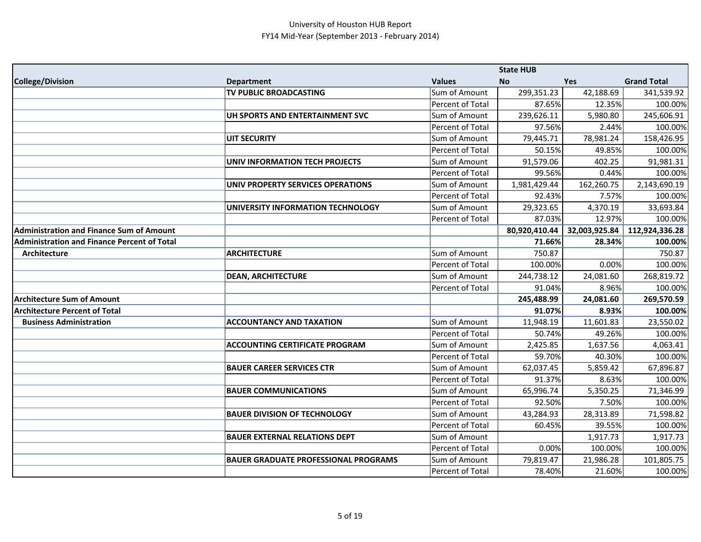|                                                    |                                             |                  | <b>State HUB</b> |               |                    |
|----------------------------------------------------|---------------------------------------------|------------------|------------------|---------------|--------------------|
| <b>College/Division</b>                            | <b>Department</b>                           | <b>Values</b>    | <b>No</b>        | <b>Yes</b>    | <b>Grand Total</b> |
|                                                    | TV PUBLIC BROADCASTING                      | Sum of Amount    | 299,351.23       | 42,188.69     | 341,539.92         |
|                                                    |                                             | Percent of Total | 87.65%           | 12.35%        | 100.00%            |
|                                                    | UH SPORTS AND ENTERTAINMENT SVC             | Sum of Amount    | 239,626.11       | 5,980.80      | 245,606.91         |
|                                                    |                                             | Percent of Total | 97.56%           | 2.44%         | 100.00%            |
|                                                    | <b>UIT SECURITY</b>                         | Sum of Amount    | 79,445.71        | 78,981.24     | 158,426.95         |
|                                                    |                                             | Percent of Total | 50.15%           | 49.85%        | 100.00%            |
|                                                    | <b>UNIV INFORMATION TECH PROJECTS</b>       | Sum of Amount    | 91,579.06        | 402.25        | 91,981.31          |
|                                                    |                                             | Percent of Total | 99.56%           | 0.44%         | 100.00%            |
|                                                    | UNIV PROPERTY SERVICES OPERATIONS           | Sum of Amount    | 1,981,429.44     | 162,260.75    | 2,143,690.19       |
|                                                    |                                             | Percent of Total | 92.43%           | 7.57%         | 100.00%            |
|                                                    | UNIVERSITY INFORMATION TECHNOLOGY           | Sum of Amount    | 29,323.65        | 4,370.19      | 33,693.84          |
|                                                    |                                             | Percent of Total | 87.03%           | 12.97%        | 100.00%            |
| <b>Administration and Finance Sum of Amount</b>    |                                             |                  | 80,920,410.44    | 32,003,925.84 | 112,924,336.28     |
| <b>Administration and Finance Percent of Total</b> |                                             |                  | 71.66%           | 28.34%        | 100.00%            |
| Architecture                                       | <b>ARCHITECTURE</b>                         | Sum of Amount    | 750.87           |               | 750.87             |
|                                                    |                                             | Percent of Total | 100.00%          | 0.00%         | 100.00%            |
|                                                    | <b>DEAN, ARCHITECTURE</b>                   | Sum of Amount    | 244,738.12       | 24,081.60     | 268,819.72         |
|                                                    |                                             | Percent of Total | 91.04%           | 8.96%         | 100.00%            |
| <b>Architecture Sum of Amount</b>                  |                                             |                  | 245,488.99       | 24,081.60     | 269,570.59         |
| <b>Architecture Percent of Total</b>               |                                             |                  | 91.07%           | 8.93%         | 100.00%            |
| <b>Business Administration</b>                     | <b>ACCOUNTANCY AND TAXATION</b>             | Sum of Amount    | 11,948.19        | 11,601.83     | 23,550.02          |
|                                                    |                                             | Percent of Total | 50.74%           | 49.26%        | 100.00%            |
|                                                    | <b>ACCOUNTING CERTIFICATE PROGRAM</b>       | Sum of Amount    | 2,425.85         | 1,637.56      | 4,063.41           |
|                                                    |                                             | Percent of Total | 59.70%           | 40.30%        | 100.00%            |
|                                                    | <b>BAUER CAREER SERVICES CTR</b>            | Sum of Amount    | 62,037.45        | 5,859.42      | 67,896.87          |
|                                                    |                                             | Percent of Total | 91.37%           | 8.63%         | 100.00%            |
|                                                    | <b>BAUER COMMUNICATIONS</b>                 | Sum of Amount    | 65,996.74        | 5,350.25      | 71,346.99          |
|                                                    |                                             | Percent of Total | 92.50%           | 7.50%         | 100.00%            |
|                                                    | <b>BAUER DIVISION OF TECHNOLOGY</b>         | Sum of Amount    | 43,284.93        | 28,313.89     | 71,598.82          |
|                                                    |                                             | Percent of Total | 60.45%           | 39.55%        | 100.00%            |
|                                                    | <b>BAUER EXTERNAL RELATIONS DEPT</b>        | Sum of Amount    |                  | 1,917.73      | 1,917.73           |
|                                                    |                                             | Percent of Total | 0.00%            | 100.00%       | 100.00%            |
|                                                    | <b>BAUER GRADUATE PROFESSIONAL PROGRAMS</b> | Sum of Amount    | 79,819.47        | 21,986.28     | 101,805.75         |
|                                                    |                                             | Percent of Total | 78.40%           | 21.60%        | 100.00%            |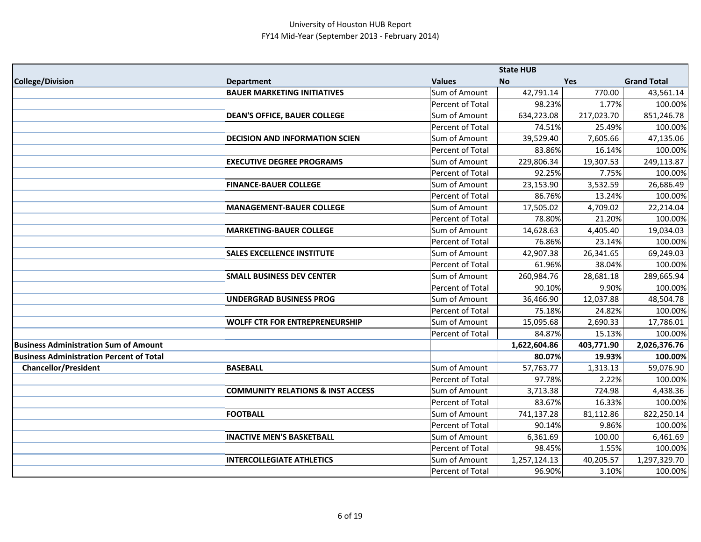|                                                 |                                              |                  | <b>State HUB</b> |            |                    |
|-------------------------------------------------|----------------------------------------------|------------------|------------------|------------|--------------------|
| <b>College/Division</b>                         | <b>Department</b>                            | <b>Values</b>    | <b>No</b>        | Yes        | <b>Grand Total</b> |
|                                                 | <b>BAUER MARKETING INITIATIVES</b>           | Sum of Amount    | 42,791.14        | 770.00     | 43,561.14          |
|                                                 |                                              | Percent of Total | 98.23%           | 1.77%      | 100.00%            |
|                                                 | <b>DEAN'S OFFICE, BAUER COLLEGE</b>          | Sum of Amount    | 634,223.08       | 217,023.70 | 851,246.78         |
|                                                 |                                              | Percent of Total | 74.51%           | 25.49%     | 100.00%            |
|                                                 | <b>DECISION AND INFORMATION SCIEN</b>        | Sum of Amount    | 39,529.40        | 7,605.66   | 47,135.06          |
|                                                 |                                              | Percent of Total | 83.86%           | 16.14%     | 100.00%            |
|                                                 | <b>EXECUTIVE DEGREE PROGRAMS</b>             | Sum of Amount    | 229,806.34       | 19,307.53  | 249,113.87         |
|                                                 |                                              | Percent of Total | 92.25%           | 7.75%      | 100.00%            |
|                                                 | <b>FINANCE-BAUER COLLEGE</b>                 | Sum of Amount    | 23,153.90        | 3,532.59   | 26,686.49          |
|                                                 |                                              | Percent of Total | 86.76%           | 13.24%     | 100.00%            |
|                                                 | <b>MANAGEMENT-BAUER COLLEGE</b>              | Sum of Amount    | 17,505.02        | 4,709.02   | 22,214.04          |
|                                                 |                                              | Percent of Total | 78.80%           | 21.20%     | 100.00%            |
|                                                 | <b>MARKETING-BAUER COLLEGE</b>               | Sum of Amount    | 14,628.63        | 4,405.40   | 19,034.03          |
|                                                 |                                              | Percent of Total | 76.86%           | 23.14%     | 100.00%            |
|                                                 | <b>SALES EXCELLENCE INSTITUTE</b>            | Sum of Amount    | 42,907.38        | 26,341.65  | 69,249.03          |
|                                                 |                                              | Percent of Total | 61.96%           | 38.04%     | 100.00%            |
|                                                 | <b>SMALL BUSINESS DEV CENTER</b>             | Sum of Amount    | 260,984.76       | 28,681.18  | 289,665.94         |
|                                                 |                                              | Percent of Total | 90.10%           | 9.90%      | 100.00%            |
|                                                 | <b>UNDERGRAD BUSINESS PROG</b>               | Sum of Amount    | 36,466.90        | 12,037.88  | 48,504.78          |
|                                                 |                                              | Percent of Total | 75.18%           | 24.82%     | 100.00%            |
|                                                 | <b>WOLFF CTR FOR ENTREPRENEURSHIP</b>        | Sum of Amount    | 15,095.68        | 2,690.33   | 17,786.01          |
|                                                 |                                              | Percent of Total | 84.87%           | 15.13%     | 100.00%            |
| <b>Business Administration Sum of Amount</b>    |                                              |                  | 1,622,604.86     | 403,771.90 | 2,026,376.76       |
| <b>Business Administration Percent of Total</b> |                                              |                  | 80.07%           | 19.93%     | 100.00%            |
| <b>Chancellor/President</b>                     | <b>BASEBALL</b>                              | Sum of Amount    | 57,763.77        | 1,313.13   | 59,076.90          |
|                                                 |                                              | Percent of Total | 97.78%           | 2.22%      | 100.00%            |
|                                                 | <b>COMMUNITY RELATIONS &amp; INST ACCESS</b> | Sum of Amount    | 3,713.38         | 724.98     | 4,438.36           |
|                                                 |                                              | Percent of Total | 83.67%           | 16.33%     | 100.00%            |
|                                                 | <b>FOOTBALL</b>                              | Sum of Amount    | 741,137.28       | 81,112.86  | 822,250.14         |
|                                                 |                                              | Percent of Total | 90.14%           | 9.86%      | 100.00%            |
|                                                 | <b>INACTIVE MEN'S BASKETBALL</b>             | Sum of Amount    | 6,361.69         | 100.00     | 6,461.69           |
|                                                 |                                              | Percent of Total | 98.45%           | 1.55%      | 100.00%            |
|                                                 | <b>INTERCOLLEGIATE ATHLETICS</b>             | Sum of Amount    | 1,257,124.13     | 40,205.57  | 1,297,329.70       |
|                                                 |                                              | Percent of Total | 96.90%           | 3.10%      | 100.00%            |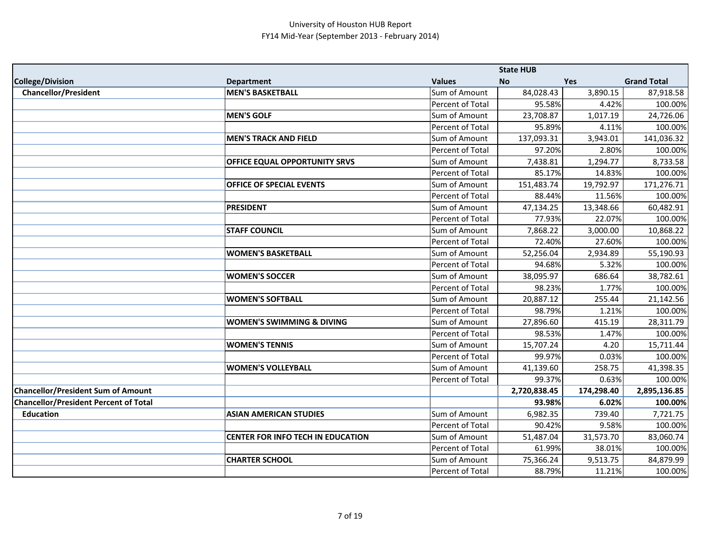|                                              |                                          |                  | <b>State HUB</b> |            |                    |
|----------------------------------------------|------------------------------------------|------------------|------------------|------------|--------------------|
| <b>College/Division</b>                      | <b>Department</b>                        | <b>Values</b>    | <b>No</b>        | Yes        | <b>Grand Total</b> |
| <b>Chancellor/President</b>                  | <b>MEN'S BASKETBALL</b>                  | Sum of Amount    | 84,028.43        | 3,890.15   | 87,918.58          |
|                                              |                                          | Percent of Total | 95.58%           | 4.42%      | 100.00%            |
|                                              | <b>MEN'S GOLF</b>                        | Sum of Amount    | 23,708.87        | 1,017.19   | 24,726.06          |
|                                              |                                          | Percent of Total | 95.89%           | 4.11%      | 100.00%            |
|                                              | <b>MEN'S TRACK AND FIELD</b>             | Sum of Amount    | 137,093.31       | 3,943.01   | 141,036.32         |
|                                              |                                          | Percent of Total | 97.20%           | 2.80%      | 100.00%            |
|                                              | OFFICE EQUAL OPPORTUNITY SRVS            | Sum of Amount    | 7,438.81         | 1,294.77   | 8,733.58           |
|                                              |                                          | Percent of Total | 85.17%           | 14.83%     | 100.00%            |
|                                              | <b>OFFICE OF SPECIAL EVENTS</b>          | Sum of Amount    | 151,483.74       | 19,792.97  | 171,276.71         |
|                                              |                                          | Percent of Total | 88.44%           | 11.56%     | 100.00%            |
|                                              | <b>PRESIDENT</b>                         | Sum of Amount    | 47,134.25        | 13,348.66  | 60,482.91          |
|                                              |                                          | Percent of Total | 77.93%           | 22.07%     | 100.00%            |
|                                              | <b>STAFF COUNCIL</b>                     | Sum of Amount    | 7,868.22         | 3,000.00   | 10,868.22          |
|                                              |                                          | Percent of Total | 72.40%           | 27.60%     | 100.00%            |
|                                              | <b>WOMEN'S BASKETBALL</b>                | Sum of Amount    | 52,256.04        | 2,934.89   | 55,190.93          |
|                                              |                                          | Percent of Total | 94.68%           | 5.32%      | 100.00%            |
|                                              | <b>WOMEN'S SOCCER</b>                    | Sum of Amount    | 38,095.97        | 686.64     | 38,782.61          |
|                                              |                                          | Percent of Total | 98.23%           | 1.77%      | 100.00%            |
|                                              | <b>WOMEN'S SOFTBALL</b>                  | Sum of Amount    | 20,887.12        | 255.44     | 21,142.56          |
|                                              |                                          | Percent of Total | 98.79%           | 1.21%      | 100.00%            |
|                                              | <b>WOMEN'S SWIMMING &amp; DIVING</b>     | Sum of Amount    | 27,896.60        | 415.19     | 28,311.79          |
|                                              |                                          | Percent of Total | 98.53%           | 1.47%      | 100.00%            |
|                                              | <b>WOMEN'S TENNIS</b>                    | Sum of Amount    | 15,707.24        | 4.20       | 15,711.44          |
|                                              |                                          | Percent of Total | 99.97%           | 0.03%      | 100.00%            |
|                                              | <b>WOMEN'S VOLLEYBALL</b>                | Sum of Amount    | 41,139.60        | 258.75     | 41,398.35          |
|                                              |                                          | Percent of Total | 99.37%           | 0.63%      | 100.00%            |
| <b>Chancellor/President Sum of Amount</b>    |                                          |                  | 2,720,838.45     | 174,298.40 | 2,895,136.85       |
| <b>Chancellor/President Percent of Total</b> |                                          |                  | 93.98%           | 6.02%      | 100.00%            |
| <b>Education</b>                             | <b>ASIAN AMERICAN STUDIES</b>            | Sum of Amount    | 6,982.35         | 739.40     | 7,721.75           |
|                                              |                                          | Percent of Total | 90.42%           | 9.58%      | 100.00%            |
|                                              | <b>CENTER FOR INFO TECH IN EDUCATION</b> | Sum of Amount    | 51,487.04        | 31,573.70  | 83,060.74          |
|                                              |                                          | Percent of Total | 61.99%           | 38.01%     | 100.00%            |
|                                              | <b>CHARTER SCHOOL</b>                    | Sum of Amount    | 75,366.24        | 9,513.75   | 84,879.99          |
|                                              |                                          | Percent of Total | 88.79%           | 11.21%     | 100.00%            |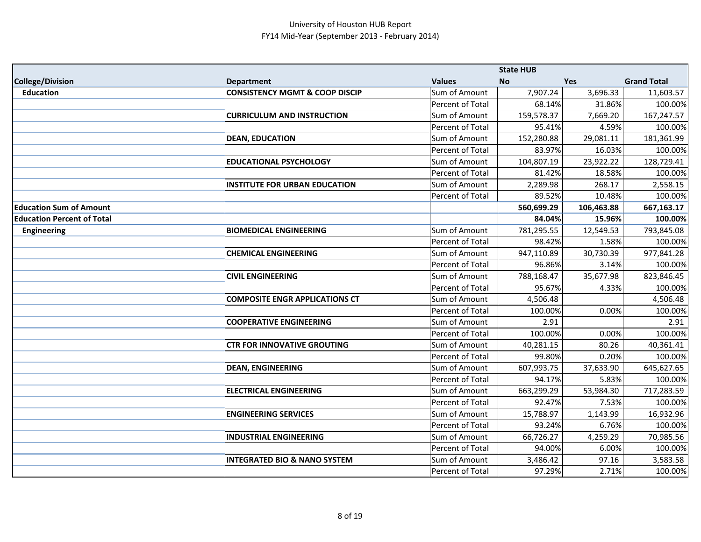|                                   |                                           |                         | <b>State HUB</b> |            |                    |
|-----------------------------------|-------------------------------------------|-------------------------|------------------|------------|--------------------|
| <b>College/Division</b>           | <b>Department</b>                         | <b>Values</b>           | <b>No</b>        | <b>Yes</b> | <b>Grand Total</b> |
| <b>Education</b>                  | <b>CONSISTENCY MGMT &amp; COOP DISCIP</b> | Sum of Amount           | 7,907.24         | 3,696.33   | 11,603.57          |
|                                   |                                           | Percent of Total        | 68.14%           | 31.86%     | 100.00%            |
|                                   | <b>CURRICULUM AND INSTRUCTION</b>         | Sum of Amount           | 159,578.37       | 7,669.20   | 167,247.57         |
|                                   |                                           | <b>Percent of Total</b> | 95.41%           | 4.59%      | 100.00%            |
|                                   | <b>DEAN, EDUCATION</b>                    | Sum of Amount           | 152,280.88       | 29,081.11  | 181,361.99         |
|                                   |                                           | Percent of Total        | 83.97%           | 16.03%     | 100.00%            |
|                                   | <b>EDUCATIONAL PSYCHOLOGY</b>             | Sum of Amount           | 104,807.19       | 23,922.22  | 128,729.41         |
|                                   |                                           | Percent of Total        | 81.42%           | 18.58%     | 100.00%            |
|                                   | <b>INSTITUTE FOR URBAN EDUCATION</b>      | Sum of Amount           | 2,289.98         | 268.17     | 2,558.15           |
|                                   |                                           | Percent of Total        | 89.52%           | 10.48%     | 100.00%            |
| <b>Education Sum of Amount</b>    |                                           |                         | 560,699.29       | 106,463.88 | 667,163.17         |
| <b>Education Percent of Total</b> |                                           |                         | 84.04%           | 15.96%     | 100.00%            |
| <b>Engineering</b>                | <b>BIOMEDICAL ENGINEERING</b>             | Sum of Amount           | 781,295.55       | 12,549.53  | 793,845.08         |
|                                   |                                           | Percent of Total        | 98.42%           | 1.58%      | 100.00%            |
|                                   | <b>CHEMICAL ENGINEERING</b>               | Sum of Amount           | 947,110.89       | 30,730.39  | 977,841.28         |
|                                   |                                           | Percent of Total        | 96.86%           | 3.14%      | 100.00%            |
|                                   | <b>CIVIL ENGINEERING</b>                  | Sum of Amount           | 788,168.47       | 35,677.98  | 823,846.45         |
|                                   |                                           | Percent of Total        | 95.67%           | 4.33%      | 100.00%            |
|                                   | <b>COMPOSITE ENGR APPLICATIONS CT</b>     | Sum of Amount           | 4,506.48         |            | 4,506.48           |
|                                   |                                           | Percent of Total        | 100.00%          | 0.00%      | 100.00%            |
|                                   | <b>COOPERATIVE ENGINEERING</b>            | Sum of Amount           | 2.91             |            | 2.91               |
|                                   |                                           | Percent of Total        | 100.00%          | 0.00%      | 100.00%            |
|                                   | <b>CTR FOR INNOVATIVE GROUTING</b>        | Sum of Amount           | 40,281.15        | 80.26      | 40,361.41          |
|                                   |                                           | Percent of Total        | 99.80%           | 0.20%      | 100.00%            |
|                                   | <b>DEAN, ENGINEERING</b>                  | Sum of Amount           | 607,993.75       | 37,633.90  | 645,627.65         |
|                                   |                                           | Percent of Total        | 94.17%           | 5.83%      | 100.00%            |
|                                   | <b>ELECTRICAL ENGINEERING</b>             | Sum of Amount           | 663,299.29       | 53,984.30  | 717,283.59         |
|                                   |                                           | Percent of Total        | 92.47%           | 7.53%      | 100.00%            |
|                                   | <b>ENGINEERING SERVICES</b>               | Sum of Amount           | 15,788.97        | 1,143.99   | 16,932.96          |
|                                   |                                           | Percent of Total        | 93.24%           | 6.76%      | 100.00%            |
|                                   | <b>INDUSTRIAL ENGINEERING</b>             | Sum of Amount           | 66,726.27        | 4,259.29   | 70,985.56          |
|                                   |                                           | Percent of Total        | 94.00%           | 6.00%      | 100.00%            |
|                                   | <b>INTEGRATED BIO &amp; NANO SYSTEM</b>   | Sum of Amount           | 3,486.42         | 97.16      | 3,583.58           |
|                                   |                                           | Percent of Total        | 97.29%           | 2.71%      | 100.00%            |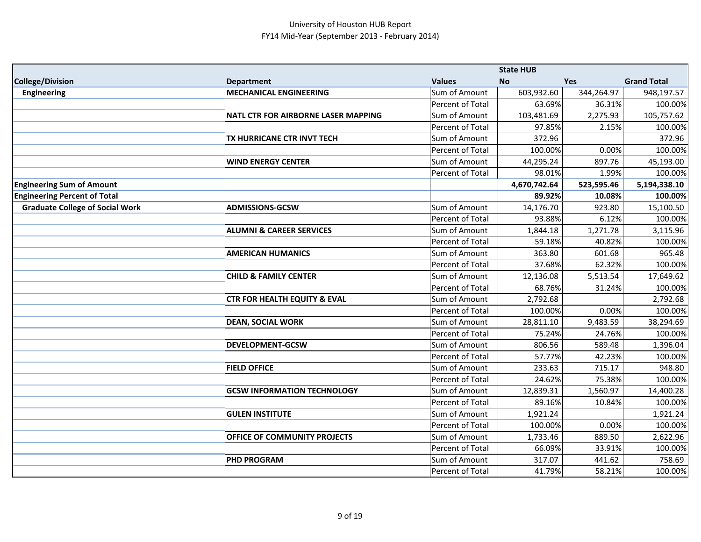|                                        |                                         |                  | <b>State HUB</b> |            |                    |
|----------------------------------------|-----------------------------------------|------------------|------------------|------------|--------------------|
| <b>College/Division</b>                | <b>Department</b>                       | <b>Values</b>    | <b>No</b>        | Yes        | <b>Grand Total</b> |
| <b>Engineering</b>                     | <b>MECHANICAL ENGINEERING</b>           | Sum of Amount    | 603,932.60       | 344,264.97 | 948,197.57         |
|                                        |                                         | Percent of Total | 63.69%           | 36.31%     | 100.00%            |
|                                        | NATL CTR FOR AIRBORNE LASER MAPPING     | Sum of Amount    | 103,481.69       | 2,275.93   | 105,757.62         |
|                                        |                                         | Percent of Total | 97.85%           | 2.15%      | 100.00%            |
|                                        | TX HURRICANE CTR INVT TECH              | Sum of Amount    | 372.96           |            | 372.96             |
|                                        |                                         | Percent of Total | 100.00%          | 0.00%      | 100.00%            |
|                                        | <b>WIND ENERGY CENTER</b>               | Sum of Amount    | 44,295.24        | 897.76     | 45,193.00          |
|                                        |                                         | Percent of Total | 98.01%           | 1.99%      | 100.00%            |
| <b>Engineering Sum of Amount</b>       |                                         |                  | 4,670,742.64     | 523,595.46 | 5,194,338.10       |
| <b>Engineering Percent of Total</b>    |                                         |                  | 89.92%           | 10.08%     | 100.00%            |
| <b>Graduate College of Social Work</b> | <b>ADMISSIONS-GCSW</b>                  | Sum of Amount    | 14,176.70        | 923.80     | 15,100.50          |
|                                        |                                         | Percent of Total | 93.88%           | 6.12%      | 100.00%            |
|                                        | <b>ALUMNI &amp; CAREER SERVICES</b>     | Sum of Amount    | 1,844.18         | 1,271.78   | 3,115.96           |
|                                        |                                         | Percent of Total | 59.18%           | 40.82%     | 100.00%            |
|                                        | <b>AMERICAN HUMANICS</b>                | Sum of Amount    | 363.80           | 601.68     | 965.48             |
|                                        |                                         | Percent of Total | 37.68%           | 62.32%     | 100.00%            |
|                                        | <b>CHILD &amp; FAMILY CENTER</b>        | Sum of Amount    | 12,136.08        | 5,513.54   | 17,649.62          |
|                                        |                                         | Percent of Total | 68.76%           | 31.24%     | 100.00%            |
|                                        | <b>CTR FOR HEALTH EQUITY &amp; EVAL</b> | Sum of Amount    | 2,792.68         |            | 2,792.68           |
|                                        |                                         | Percent of Total | 100.00%          | 0.00%      | 100.00%            |
|                                        | <b>DEAN, SOCIAL WORK</b>                | Sum of Amount    | 28,811.10        | 9,483.59   | 38,294.69          |
|                                        |                                         | Percent of Total | 75.24%           | 24.76%     | 100.00%            |
|                                        | <b>DEVELOPMENT-GCSW</b>                 | Sum of Amount    | 806.56           | 589.48     | 1,396.04           |
|                                        |                                         | Percent of Total | 57.77%           | 42.23%     | 100.00%            |
|                                        | <b>FIELD OFFICE</b>                     | Sum of Amount    | 233.63           | 715.17     | 948.80             |
|                                        |                                         | Percent of Total | 24.62%           | 75.38%     | 100.00%            |
|                                        | <b>GCSW INFORMATION TECHNOLOGY</b>      | Sum of Amount    | 12,839.31        | 1,560.97   | 14,400.28          |
|                                        |                                         | Percent of Total | 89.16%           | 10.84%     | 100.00%            |
|                                        | <b>GULEN INSTITUTE</b>                  | Sum of Amount    | 1,921.24         |            | 1,921.24           |
|                                        |                                         | Percent of Total | 100.00%          | 0.00%      | 100.00%            |
|                                        | OFFICE OF COMMUNITY PROJECTS            | Sum of Amount    | 1,733.46         | 889.50     | 2,622.96           |
|                                        |                                         | Percent of Total | 66.09%           | 33.91%     | 100.00%            |
|                                        | <b>PHD PROGRAM</b>                      | Sum of Amount    | 317.07           | 441.62     | 758.69             |
|                                        |                                         | Percent of Total | 41.79%           | 58.21%     | 100.00%            |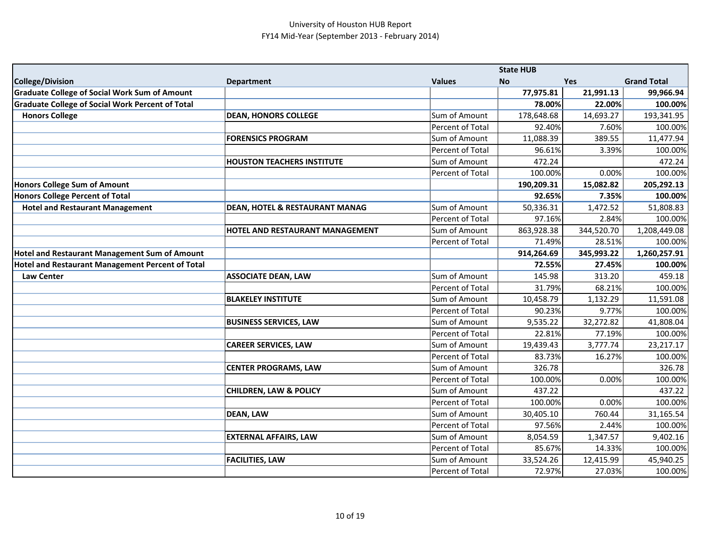|                                                         |                                           |                         | <b>State HUB</b> |            |                    |
|---------------------------------------------------------|-------------------------------------------|-------------------------|------------------|------------|--------------------|
| <b>College/Division</b>                                 | <b>Department</b>                         | <b>Values</b>           | <b>No</b>        | <b>Yes</b> | <b>Grand Total</b> |
| <b>Graduate College of Social Work Sum of Amount</b>    |                                           |                         | 77,975.81        | 21,991.13  | 99,966.94          |
| <b>Graduate College of Social Work Percent of Total</b> |                                           |                         | 78.00%           | 22.00%     | 100.00%            |
| <b>Honors College</b>                                   | <b>DEAN, HONORS COLLEGE</b>               | Sum of Amount           | 178,648.68       | 14,693.27  | 193,341.95         |
|                                                         |                                           | <b>Percent of Total</b> | 92.40%           | 7.60%      | 100.00%            |
|                                                         | <b>FORENSICS PROGRAM</b>                  | Sum of Amount           | 11,088.39        | 389.55     | 11,477.94          |
|                                                         |                                           | Percent of Total        | 96.61%           | 3.39%      | 100.00%            |
|                                                         | <b>HOUSTON TEACHERS INSTITUTE</b>         | Sum of Amount           | 472.24           |            | 472.24             |
|                                                         |                                           | Percent of Total        | 100.00%          | 0.00%      | 100.00%            |
| Honors College Sum of Amount                            |                                           |                         | 190,209.31       | 15,082.82  | 205,292.13         |
| <b>Honors College Percent of Total</b>                  |                                           |                         | 92.65%           | 7.35%      | 100.00%            |
| <b>Hotel and Restaurant Management</b>                  | <b>DEAN, HOTEL &amp; RESTAURANT MANAG</b> | Sum of Amount           | 50,336.31        | 1,472.52   | 51,808.83          |
|                                                         |                                           | Percent of Total        | 97.16%           | 2.84%      | 100.00%            |
|                                                         | HOTEL AND RESTAURANT MANAGEMENT           | Sum of Amount           | 863,928.38       | 344,520.70 | 1,208,449.08       |
|                                                         |                                           | Percent of Total        | 71.49%           | 28.51%     | 100.00%            |
| Hotel and Restaurant Management Sum of Amount           |                                           |                         | 914,264.69       | 345,993.22 | 1,260,257.91       |
| Hotel and Restaurant Management Percent of Total        |                                           |                         | 72.55%           | 27.45%     | 100.00%            |
| <b>Law Center</b>                                       | <b>ASSOCIATE DEAN, LAW</b>                | Sum of Amount           | 145.98           | 313.20     | 459.18             |
|                                                         |                                           | Percent of Total        | 31.79%           | 68.21%     | 100.00%            |
|                                                         | <b>BLAKELEY INSTITUTE</b>                 | Sum of Amount           | 10,458.79        | 1,132.29   | 11,591.08          |
|                                                         |                                           | <b>Percent of Total</b> | 90.23%           | 9.77%      | 100.00%            |
|                                                         | <b>BUSINESS SERVICES, LAW</b>             | Sum of Amount           | 9,535.22         | 32,272.82  | 41,808.04          |
|                                                         |                                           | Percent of Total        | 22.81%           | 77.19%     | 100.00%            |
|                                                         | <b>CAREER SERVICES, LAW</b>               | Sum of Amount           | 19,439.43        | 3,777.74   | 23,217.17          |
|                                                         |                                           | Percent of Total        | 83.73%           | 16.27%     | 100.00%            |
|                                                         | <b>CENTER PROGRAMS, LAW</b>               | Sum of Amount           | 326.78           |            | 326.78             |
|                                                         |                                           | Percent of Total        | 100.00%          | 0.00%      | 100.00%            |
|                                                         | <b>CHILDREN, LAW &amp; POLICY</b>         | Sum of Amount           | 437.22           |            | 437.22             |
|                                                         |                                           | Percent of Total        | 100.00%          | 0.00%      | 100.00%            |
|                                                         | <b>DEAN, LAW</b>                          | Sum of Amount           | 30,405.10        | 760.44     | 31,165.54          |
|                                                         |                                           | Percent of Total        | 97.56%           | 2.44%      | 100.00%            |
|                                                         | <b>EXTERNAL AFFAIRS, LAW</b>              | Sum of Amount           | 8,054.59         | 1,347.57   | 9,402.16           |
|                                                         |                                           | Percent of Total        | 85.67%           | 14.33%     | 100.00%            |
|                                                         | <b>FACILITIES, LAW</b>                    | Sum of Amount           | 33,524.26        | 12,415.99  | 45,940.25          |
|                                                         |                                           | Percent of Total        | 72.97%           | 27.03%     | 100.00%            |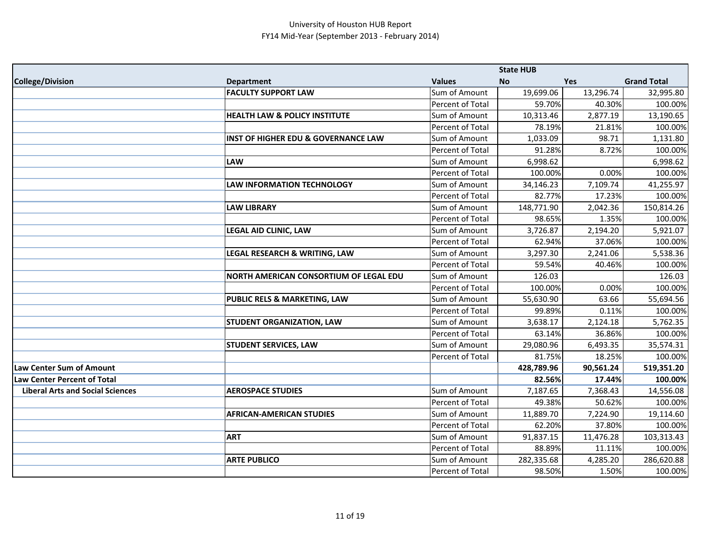|                                         |                                                |                  | <b>State HUB</b> |           |                    |
|-----------------------------------------|------------------------------------------------|------------------|------------------|-----------|--------------------|
| <b>College/Division</b>                 | <b>Department</b>                              | <b>Values</b>    | <b>No</b>        | Yes       | <b>Grand Total</b> |
|                                         | <b>FACULTY SUPPORT LAW</b>                     | Sum of Amount    | 19,699.06        | 13,296.74 | 32,995.80          |
|                                         |                                                | Percent of Total | 59.70%           | 40.30%    | 100.00%            |
|                                         | <b>HEALTH LAW &amp; POLICY INSTITUTE</b>       | Sum of Amount    | 10,313.46        | 2,877.19  | 13,190.65          |
|                                         |                                                | Percent of Total | 78.19%           | 21.81%    | 100.00%            |
|                                         | <b>INST OF HIGHER EDU &amp; GOVERNANCE LAW</b> | Sum of Amount    | 1,033.09         | 98.71     | 1,131.80           |
|                                         |                                                | Percent of Total | 91.28%           | 8.72%     | 100.00%            |
|                                         | <b>LAW</b>                                     | Sum of Amount    | 6,998.62         |           | 6,998.62           |
|                                         |                                                | Percent of Total | 100.00%          | 0.00%     | 100.00%            |
|                                         | <b>LAW INFORMATION TECHNOLOGY</b>              | Sum of Amount    | 34,146.23        | 7,109.74  | 41,255.97          |
|                                         |                                                | Percent of Total | 82.77%           | 17.23%    | 100.00%            |
|                                         | <b>LAW LIBRARY</b>                             | Sum of Amount    | 148,771.90       | 2,042.36  | 150,814.26         |
|                                         |                                                | Percent of Total | 98.65%           | 1.35%     | 100.00%            |
|                                         | <b>LEGAL AID CLINIC, LAW</b>                   | Sum of Amount    | 3,726.87         | 2,194.20  | 5,921.07           |
|                                         |                                                | Percent of Total | 62.94%           | 37.06%    | 100.00%            |
|                                         | <b>LEGAL RESEARCH &amp; WRITING, LAW</b>       | Sum of Amount    | 3,297.30         | 2,241.06  | 5,538.36           |
|                                         |                                                | Percent of Total | 59.54%           | 40.46%    | 100.00%            |
|                                         | NORTH AMERICAN CONSORTIUM OF LEGAL EDU         | Sum of Amount    | 126.03           |           | 126.03             |
|                                         |                                                | Percent of Total | 100.00%          | 0.00%     | 100.00%            |
|                                         | <b>PUBLIC RELS &amp; MARKETING, LAW</b>        | Sum of Amount    | 55,630.90        | 63.66     | 55,694.56          |
|                                         |                                                | Percent of Total | 99.89%           | 0.11%     | 100.00%            |
|                                         | <b>STUDENT ORGANIZATION, LAW</b>               | Sum of Amount    | 3,638.17         | 2,124.18  | 5,762.35           |
|                                         |                                                | Percent of Total | 63.14%           | 36.86%    | 100.00%            |
|                                         | <b>STUDENT SERVICES, LAW</b>                   | Sum of Amount    | 29,080.96        | 6,493.35  | 35,574.31          |
|                                         |                                                | Percent of Total | 81.75%           | 18.25%    | 100.00%            |
| <b>Law Center Sum of Amount</b>         |                                                |                  | 428,789.96       | 90,561.24 | 519,351.20         |
| <b>Law Center Percent of Total</b>      |                                                |                  | 82.56%           | 17.44%    | 100.00%            |
| <b>Liberal Arts and Social Sciences</b> | <b>AEROSPACE STUDIES</b>                       | Sum of Amount    | 7,187.65         | 7,368.43  | 14,556.08          |
|                                         |                                                | Percent of Total | 49.38%           | 50.62%    | 100.00%            |
|                                         | <b>AFRICAN-AMERICAN STUDIES</b>                | Sum of Amount    | 11,889.70        | 7,224.90  | 19,114.60          |
|                                         |                                                | Percent of Total | 62.20%           | 37.80%    | 100.00%            |
|                                         | <b>ART</b>                                     | Sum of Amount    | 91,837.15        | 11,476.28 | 103,313.43         |
|                                         |                                                | Percent of Total | 88.89%           | 11.11%    | 100.00%            |
|                                         | <b>ARTE PUBLICO</b>                            | Sum of Amount    | 282,335.68       | 4,285.20  | 286,620.88         |
|                                         |                                                | Percent of Total | 98.50%           | 1.50%     | 100.00%            |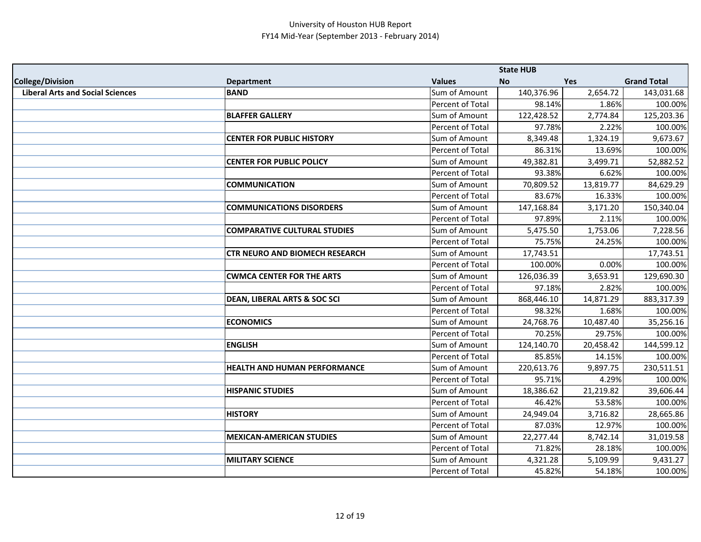|                                         |                                         |                  | <b>State HUB</b> |           |                    |
|-----------------------------------------|-----------------------------------------|------------------|------------------|-----------|--------------------|
| <b>College/Division</b>                 | <b>Department</b>                       | <b>Values</b>    | <b>No</b>        | Yes       | <b>Grand Total</b> |
| <b>Liberal Arts and Social Sciences</b> | <b>BAND</b>                             | Sum of Amount    | 140,376.96       | 2,654.72  | 143,031.68         |
|                                         |                                         | Percent of Total | 98.14%           | 1.86%     | 100.00%            |
|                                         | <b>BLAFFER GALLERY</b>                  | Sum of Amount    | 122,428.52       | 2,774.84  | 125,203.36         |
|                                         |                                         | Percent of Total | 97.78%           | 2.22%     | 100.00%            |
|                                         | <b>CENTER FOR PUBLIC HISTORY</b>        | Sum of Amount    | 8,349.48         | 1,324.19  | 9,673.67           |
|                                         |                                         | Percent of Total | 86.31%           | 13.69%    | 100.00%            |
|                                         | <b>CENTER FOR PUBLIC POLICY</b>         | Sum of Amount    | 49,382.81        | 3,499.71  | 52,882.52          |
|                                         |                                         | Percent of Total | 93.38%           | 6.62%     | 100.00%            |
|                                         | <b>COMMUNICATION</b>                    | Sum of Amount    | 70,809.52        | 13,819.77 | 84,629.29          |
|                                         |                                         | Percent of Total | 83.67%           | 16.33%    | 100.00%            |
|                                         | <b>COMMUNICATIONS DISORDERS</b>         | Sum of Amount    | 147,168.84       | 3,171.20  | 150,340.04         |
|                                         |                                         | Percent of Total | 97.89%           | 2.11%     | 100.00%            |
|                                         | <b>COMPARATIVE CULTURAL STUDIES</b>     | Sum of Amount    | 5,475.50         | 1,753.06  | 7,228.56           |
|                                         |                                         | Percent of Total | 75.75%           | 24.25%    | 100.00%            |
|                                         | <b>CTR NEURO AND BIOMECH RESEARCH</b>   | Sum of Amount    | 17,743.51        |           | 17,743.51          |
|                                         |                                         | Percent of Total | 100.00%          | 0.00%     | 100.00%            |
|                                         | <b>CWMCA CENTER FOR THE ARTS</b>        | Sum of Amount    | 126,036.39       | 3,653.91  | 129,690.30         |
|                                         |                                         | Percent of Total | 97.18%           | 2.82%     | 100.00%            |
|                                         | <b>DEAN, LIBERAL ARTS &amp; SOC SCI</b> | Sum of Amount    | 868,446.10       | 14,871.29 | 883,317.39         |
|                                         |                                         | Percent of Total | 98.32%           | 1.68%     | 100.00%            |
|                                         | <b>ECONOMICS</b>                        | Sum of Amount    | 24,768.76        | 10,487.40 | 35,256.16          |
|                                         |                                         | Percent of Total | 70.25%           | 29.75%    | 100.00%            |
|                                         | <b>ENGLISH</b>                          | Sum of Amount    | 124,140.70       | 20,458.42 | 144,599.12         |
|                                         |                                         | Percent of Total | 85.85%           | 14.15%    | 100.00%            |
|                                         | <b>HEALTH AND HUMAN PERFORMANCE</b>     | Sum of Amount    | 220,613.76       | 9,897.75  | 230,511.51         |
|                                         |                                         | Percent of Total | 95.71%           | 4.29%     | 100.00%            |
|                                         | <b>HISPANIC STUDIES</b>                 | Sum of Amount    | 18,386.62        | 21,219.82 | 39,606.44          |
|                                         |                                         | Percent of Total | 46.42%           | 53.58%    | 100.00%            |
|                                         | <b>HISTORY</b>                          | Sum of Amount    | 24,949.04        | 3,716.82  | 28,665.86          |
|                                         |                                         | Percent of Total | 87.03%           | 12.97%    | 100.00%            |
|                                         | <b>MEXICAN-AMERICAN STUDIES</b>         | Sum of Amount    | 22,277.44        | 8,742.14  | 31,019.58          |
|                                         |                                         | Percent of Total | 71.82%           | 28.18%    | 100.00%            |
|                                         | <b>MILITARY SCIENCE</b>                 | Sum of Amount    | 4,321.28         | 5,109.99  | 9,431.27           |
|                                         |                                         | Percent of Total | 45.82%           | 54.18%    | 100.00%            |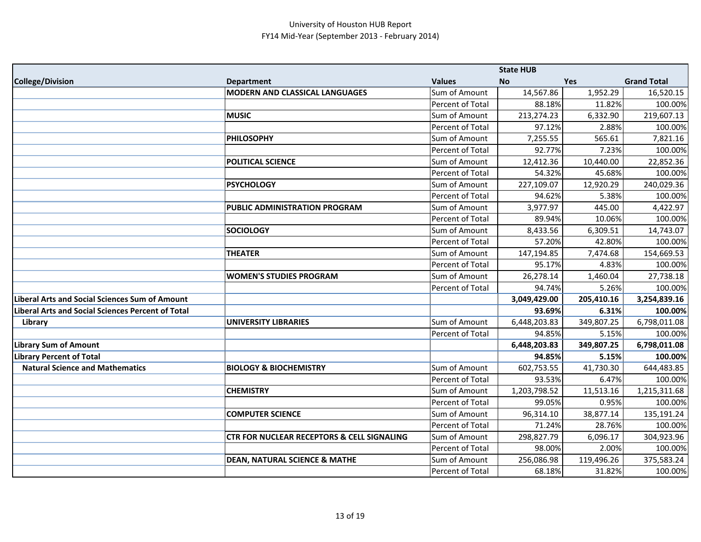|                                                          |                                                       |                  | <b>State HUB</b> |            |                    |
|----------------------------------------------------------|-------------------------------------------------------|------------------|------------------|------------|--------------------|
| <b>College/Division</b>                                  | <b>Department</b>                                     | <b>Values</b>    | <b>No</b>        | <b>Yes</b> | <b>Grand Total</b> |
|                                                          | <b>MODERN AND CLASSICAL LANGUAGES</b>                 | Sum of Amount    | 14,567.86        | 1,952.29   | 16,520.15          |
|                                                          |                                                       | Percent of Total | 88.18%           | 11.82%     | 100.00%            |
|                                                          | <b>MUSIC</b>                                          | Sum of Amount    | 213,274.23       | 6,332.90   | 219,607.13         |
|                                                          |                                                       | Percent of Total | 97.12%           | 2.88%      | 100.00%            |
|                                                          | <b>PHILOSOPHY</b>                                     | Sum of Amount    | 7,255.55         | 565.61     | 7,821.16           |
|                                                          |                                                       | Percent of Total | 92.77%           | 7.23%      | 100.00%            |
|                                                          | <b>POLITICAL SCIENCE</b>                              | Sum of Amount    | 12,412.36        | 10,440.00  | 22,852.36          |
|                                                          |                                                       | Percent of Total | 54.32%           | 45.68%     | 100.00%            |
|                                                          | <b>PSYCHOLOGY</b>                                     | Sum of Amount    | 227,109.07       | 12,920.29  | 240,029.36         |
|                                                          |                                                       | Percent of Total | 94.62%           | 5.38%      | 100.00%            |
|                                                          | <b>PUBLIC ADMINISTRATION PROGRAM</b>                  | Sum of Amount    | 3,977.97         | 445.00     | 4,422.97           |
|                                                          |                                                       | Percent of Total | 89.94%           | 10.06%     | 100.00%            |
|                                                          | <b>SOCIOLOGY</b>                                      | Sum of Amount    | 8,433.56         | 6,309.51   | 14,743.07          |
|                                                          |                                                       | Percent of Total | 57.20%           | 42.80%     | 100.00%            |
|                                                          | <b>THEATER</b>                                        | Sum of Amount    | 147,194.85       | 7,474.68   | 154,669.53         |
|                                                          |                                                       | Percent of Total | 95.17%           | 4.83%      | 100.00%            |
|                                                          | <b>WOMEN'S STUDIES PROGRAM</b>                        | Sum of Amount    | 26,278.14        | 1,460.04   | 27,738.18          |
|                                                          |                                                       | Percent of Total | 94.74%           | 5.26%      | 100.00%            |
| <b>Liberal Arts and Social Sciences Sum of Amount</b>    |                                                       |                  | 3,049,429.00     | 205,410.16 | 3,254,839.16       |
| <b>Liberal Arts and Social Sciences Percent of Total</b> |                                                       |                  | 93.69%           | 6.31%      | 100.00%            |
| Library                                                  | <b>UNIVERSITY LIBRARIES</b>                           | Sum of Amount    | 6,448,203.83     | 349,807.25 | 6,798,011.08       |
|                                                          |                                                       | Percent of Total | 94.85%           | 5.15%      | 100.00%            |
| <b>Library Sum of Amount</b>                             |                                                       |                  | 6,448,203.83     | 349,807.25 | 6,798,011.08       |
| <b>Library Percent of Total</b>                          |                                                       |                  | 94.85%           | 5.15%      | 100.00%            |
| <b>Natural Science and Mathematics</b>                   | <b>BIOLOGY &amp; BIOCHEMISTRY</b>                     | Sum of Amount    | 602,753.55       | 41,730.30  | 644,483.85         |
|                                                          |                                                       | Percent of Total | 93.53%           | 6.47%      | 100.00%            |
|                                                          | <b>CHEMISTRY</b>                                      | Sum of Amount    | 1,203,798.52     | 11,513.16  | 1,215,311.68       |
|                                                          |                                                       | Percent of Total | 99.05%           | 0.95%      | 100.00%            |
|                                                          | <b>COMPUTER SCIENCE</b>                               | Sum of Amount    | 96,314.10        | 38,877.14  | 135,191.24         |
|                                                          |                                                       | Percent of Total | 71.24%           | 28.76%     | 100.00%            |
|                                                          | <b>CTR FOR NUCLEAR RECEPTORS &amp; CELL SIGNALING</b> | Sum of Amount    | 298,827.79       | 6,096.17   | 304,923.96         |
|                                                          |                                                       | Percent of Total | 98.00%           | 2.00%      | 100.00%            |
|                                                          | <b>DEAN, NATURAL SCIENCE &amp; MATHE</b>              | Sum of Amount    | 256,086.98       | 119,496.26 | 375,583.24         |
|                                                          |                                                       | Percent of Total | 68.18%           | 31.82%     | 100.00%            |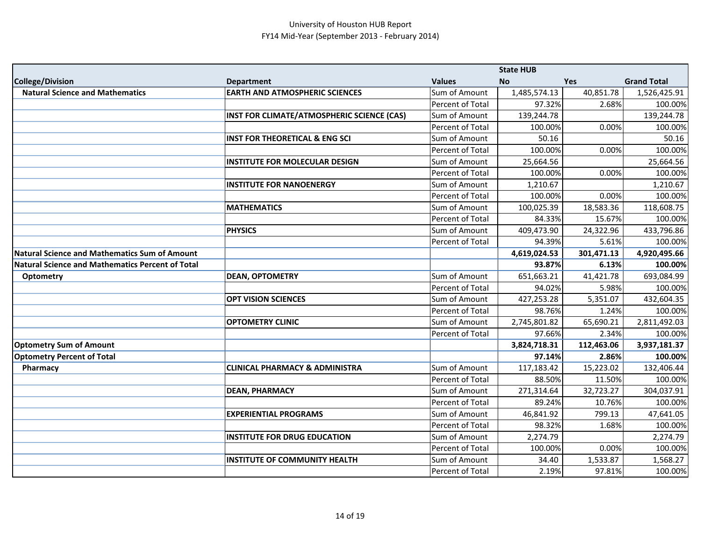|                                                         |                                            |                         | <b>State HUB</b> |            |                    |
|---------------------------------------------------------|--------------------------------------------|-------------------------|------------------|------------|--------------------|
| <b>College/Division</b>                                 | <b>Department</b>                          | <b>Values</b>           | <b>No</b>        | <b>Yes</b> | <b>Grand Total</b> |
| <b>Natural Science and Mathematics</b>                  | <b>EARTH AND ATMOSPHERIC SCIENCES</b>      | Sum of Amount           | 1,485,574.13     | 40,851.78  | 1,526,425.91       |
|                                                         |                                            | <b>Percent of Total</b> | 97.32%           | 2.68%      | 100.00%            |
|                                                         | INST FOR CLIMATE/ATMOSPHERIC SCIENCE (CAS) | Sum of Amount           | 139,244.78       |            | 139,244.78         |
|                                                         |                                            | <b>Percent of Total</b> | 100.00%          | 0.00%      | 100.00%            |
|                                                         | <b>INST FOR THEORETICAL &amp; ENG SCI</b>  | Sum of Amount           | 50.16            |            | 50.16              |
|                                                         |                                            | Percent of Total        | 100.00%          | 0.00%      | 100.00%            |
|                                                         | <b>INSTITUTE FOR MOLECULAR DESIGN</b>      | Sum of Amount           | 25,664.56        |            | 25,664.56          |
|                                                         |                                            | <b>Percent of Total</b> | 100.00%          | 0.00%      | 100.00%            |
|                                                         | <b>INSTITUTE FOR NANOENERGY</b>            | Sum of Amount           | 1,210.67         |            | 1,210.67           |
|                                                         |                                            | Percent of Total        | 100.00%          | 0.00%      | 100.00%            |
|                                                         | <b>MATHEMATICS</b>                         | Sum of Amount           | 100,025.39       | 18,583.36  | 118,608.75         |
|                                                         |                                            | Percent of Total        | 84.33%           | 15.67%     | 100.00%            |
|                                                         | <b>PHYSICS</b>                             | Sum of Amount           | 409,473.90       | 24,322.96  | 433,796.86         |
|                                                         |                                            | Percent of Total        | 94.39%           | 5.61%      | 100.00%            |
| <b>Natural Science and Mathematics Sum of Amount</b>    |                                            |                         | 4,619,024.53     | 301,471.13 | 4,920,495.66       |
| <b>Natural Science and Mathematics Percent of Total</b> |                                            |                         | 93.87%           | 6.13%      | 100.00%            |
| Optometry                                               | <b>DEAN, OPTOMETRY</b>                     | Sum of Amount           | 651,663.21       | 41,421.78  | 693,084.99         |
|                                                         |                                            | Percent of Total        | 94.02%           | 5.98%      | 100.00%            |
|                                                         | <b>OPT VISION SCIENCES</b>                 | Sum of Amount           | 427,253.28       | 5,351.07   | 432,604.35         |
|                                                         |                                            | Percent of Total        | 98.76%           | 1.24%      | 100.00%            |
|                                                         | <b>OPTOMETRY CLINIC</b>                    | Sum of Amount           | 2,745,801.82     | 65,690.21  | 2,811,492.03       |
|                                                         |                                            | Percent of Total        | 97.66%           | 2.34%      | 100.00%            |
| <b>Optometry Sum of Amount</b>                          |                                            |                         | 3,824,718.31     | 112,463.06 | 3,937,181.37       |
| <b>Optometry Percent of Total</b>                       |                                            |                         | 97.14%           | 2.86%      | 100.00%            |
| Pharmacy                                                | <b>CLINICAL PHARMACY &amp; ADMINISTRA</b>  | Sum of Amount           | 117,183.42       | 15,223.02  | 132,406.44         |
|                                                         |                                            | Percent of Total        | 88.50%           | 11.50%     | 100.00%            |
|                                                         | <b>DEAN, PHARMACY</b>                      | Sum of Amount           | 271,314.64       | 32,723.27  | 304,037.91         |
|                                                         |                                            | Percent of Total        | 89.24%           | 10.76%     | 100.00%            |
|                                                         | <b>EXPERIENTIAL PROGRAMS</b>               | Sum of Amount           | 46,841.92        | 799.13     | 47,641.05          |
|                                                         |                                            | Percent of Total        | 98.32%           | 1.68%      | 100.00%            |
|                                                         | <b>INSTITUTE FOR DRUG EDUCATION</b>        | Sum of Amount           | 2,274.79         |            | 2,274.79           |
|                                                         |                                            | Percent of Total        | 100.00%          | 0.00%      | 100.00%            |
|                                                         | <b>INSTITUTE OF COMMUNITY HEALTH</b>       | Sum of Amount           | 34.40            | 1,533.87   | 1,568.27           |
|                                                         |                                            | Percent of Total        | 2.19%            | 97.81%     | 100.00%            |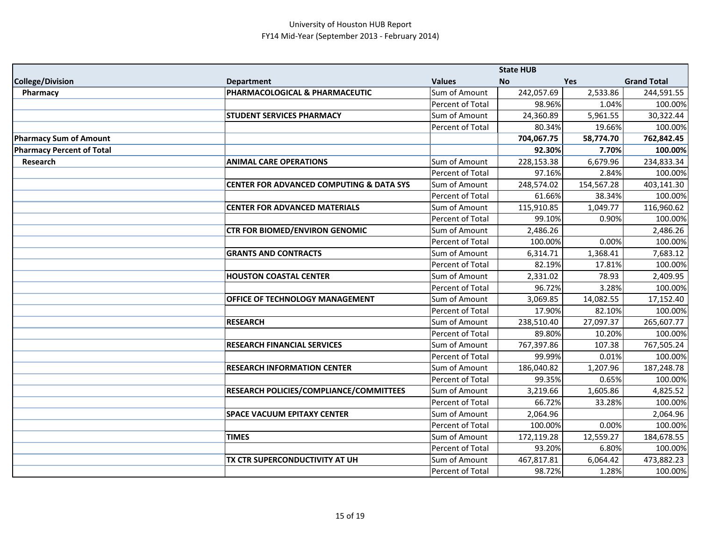|                                  |                                                     |                  | <b>State HUB</b> |            |                    |
|----------------------------------|-----------------------------------------------------|------------------|------------------|------------|--------------------|
| <b>College/Division</b>          | <b>Department</b>                                   | <b>Values</b>    | <b>No</b>        | Yes        | <b>Grand Total</b> |
| Pharmacy                         | PHARMACOLOGICAL & PHARMACEUTIC                      | Sum of Amount    | 242,057.69       | 2,533.86   | 244,591.55         |
|                                  |                                                     | Percent of Total | 98.96%           | 1.04%      | 100.00%            |
|                                  | <b>STUDENT SERVICES PHARMACY</b>                    | Sum of Amount    | 24,360.89        | 5,961.55   | 30,322.44          |
|                                  |                                                     | Percent of Total | 80.34%           | 19.66%     | 100.00%            |
| <b>Pharmacy Sum of Amount</b>    |                                                     |                  | 704,067.75       | 58,774.70  | 762,842.45         |
| <b>Pharmacy Percent of Total</b> |                                                     |                  | 92.30%           | 7.70%      | 100.00%            |
| <b>Research</b>                  | <b>ANIMAL CARE OPERATIONS</b>                       | Sum of Amount    | 228,153.38       | 6,679.96   | 234,833.34         |
|                                  |                                                     | Percent of Total | 97.16%           | 2.84%      | 100.00%            |
|                                  | <b>CENTER FOR ADVANCED COMPUTING &amp; DATA SYS</b> | Sum of Amount    | 248,574.02       | 154,567.28 | 403,141.30         |
|                                  |                                                     | Percent of Total | 61.66%           | 38.34%     | 100.00%            |
|                                  | <b>CENTER FOR ADVANCED MATERIALS</b>                | Sum of Amount    | 115,910.85       | 1,049.77   | 116,960.62         |
|                                  |                                                     | Percent of Total | 99.10%           | 0.90%      | 100.00%            |
|                                  | <b>CTR FOR BIOMED/ENVIRON GENOMIC</b>               | Sum of Amount    | 2,486.26         |            | 2,486.26           |
|                                  |                                                     | Percent of Total | 100.00%          | 0.00%      | 100.00%            |
|                                  | <b>GRANTS AND CONTRACTS</b>                         | Sum of Amount    | 6,314.71         | 1,368.41   | 7,683.12           |
|                                  |                                                     | Percent of Total | 82.19%           | 17.81%     | 100.00%            |
|                                  | <b>HOUSTON COASTAL CENTER</b>                       | Sum of Amount    | 2,331.02         | 78.93      | 2,409.95           |
|                                  |                                                     | Percent of Total | 96.72%           | 3.28%      | 100.00%            |
|                                  | OFFICE OF TECHNOLOGY MANAGEMENT                     | Sum of Amount    | 3,069.85         | 14,082.55  | 17,152.40          |
|                                  |                                                     | Percent of Total | 17.90%           | 82.10%     | 100.00%            |
|                                  | <b>RESEARCH</b>                                     | Sum of Amount    | 238,510.40       | 27,097.37  | 265,607.77         |
|                                  |                                                     | Percent of Total | 89.80%           | 10.20%     | 100.00%            |
|                                  | <b>RESEARCH FINANCIAL SERVICES</b>                  | Sum of Amount    | 767,397.86       | 107.38     | 767,505.24         |
|                                  |                                                     | Percent of Total | 99.99%           | 0.01%      | 100.00%            |
|                                  | <b>RESEARCH INFORMATION CENTER</b>                  | Sum of Amount    | 186,040.82       | 1,207.96   | 187,248.78         |
|                                  |                                                     | Percent of Total | 99.35%           | 0.65%      | 100.00%            |
|                                  | RESEARCH POLICIES/COMPLIANCE/COMMITTEES             | Sum of Amount    | 3,219.66         | 1,605.86   | 4,825.52           |
|                                  |                                                     | Percent of Total | 66.72%           | 33.28%     | 100.00%            |
|                                  | <b>SPACE VACUUM EPITAXY CENTER</b>                  | Sum of Amount    | 2,064.96         |            | 2,064.96           |
|                                  |                                                     | Percent of Total | 100.00%          | 0.00%      | 100.00%            |
|                                  | <b>TIMES</b>                                        | Sum of Amount    | 172,119.28       | 12,559.27  | 184,678.55         |
|                                  |                                                     | Percent of Total | 93.20%           | 6.80%      | 100.00%            |
|                                  | TX CTR SUPERCONDUCTIVITY AT UH                      | Sum of Amount    | 467,817.81       | 6,064.42   | 473,882.23         |
|                                  |                                                     | Percent of Total | 98.72%           | 1.28%      | 100.00%            |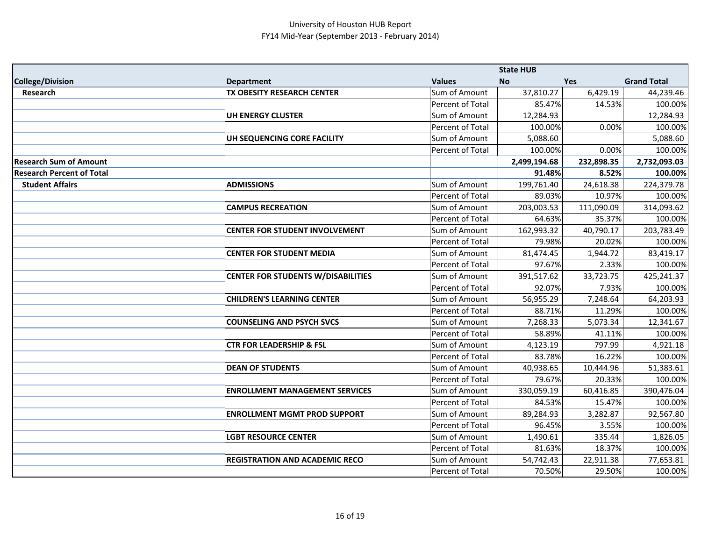|                                  |                                           |                  | <b>State HUB</b> |            |                    |
|----------------------------------|-------------------------------------------|------------------|------------------|------------|--------------------|
| <b>College/Division</b>          | <b>Department</b>                         | <b>Values</b>    | No               | Yes        | <b>Grand Total</b> |
| Research                         | TX OBESITY RESEARCH CENTER                | Sum of Amount    | 37,810.27        | 6,429.19   | 44,239.46          |
|                                  |                                           | Percent of Total | 85.47%           | 14.53%     | 100.00%            |
|                                  | <b>UH ENERGY CLUSTER</b>                  | Sum of Amount    | 12,284.93        |            | 12,284.93          |
|                                  |                                           | Percent of Total | 100.00%          | 0.00%      | 100.00%            |
|                                  | UH SEQUENCING CORE FACILITY               | Sum of Amount    | 5,088.60         |            | 5,088.60           |
|                                  |                                           | Percent of Total | 100.00%          | 0.00%      | 100.00%            |
| <b>Research Sum of Amount</b>    |                                           |                  | 2,499,194.68     | 232,898.35 | 2,732,093.03       |
| <b>Research Percent of Total</b> |                                           |                  | 91.48%           | 8.52%      | 100.00%            |
| <b>Student Affairs</b>           | <b>ADMISSIONS</b>                         | Sum of Amount    | 199,761.40       | 24,618.38  | 224,379.78         |
|                                  |                                           | Percent of Total | 89.03%           | 10.97%     | 100.00%            |
|                                  | <b>CAMPUS RECREATION</b>                  | Sum of Amount    | 203,003.53       | 111,090.09 | 314,093.62         |
|                                  |                                           | Percent of Total | 64.63%           | 35.37%     | 100.00%            |
|                                  | <b>CENTER FOR STUDENT INVOLVEMENT</b>     | Sum of Amount    | 162,993.32       | 40,790.17  | 203,783.49         |
|                                  |                                           | Percent of Total | 79.98%           | 20.02%     | 100.00%            |
|                                  | <b>CENTER FOR STUDENT MEDIA</b>           | Sum of Amount    | 81,474.45        | 1,944.72   | 83,419.17          |
|                                  |                                           | Percent of Total | 97.67%           | 2.33%      | 100.00%            |
|                                  | <b>CENTER FOR STUDENTS W/DISABILITIES</b> | Sum of Amount    | 391,517.62       | 33,723.75  | 425,241.37         |
|                                  |                                           | Percent of Total | 92.07%           | 7.93%      | 100.00%            |
|                                  | <b>CHILDREN'S LEARNING CENTER</b>         | Sum of Amount    | 56,955.29        | 7,248.64   | 64,203.93          |
|                                  |                                           | Percent of Total | 88.71%           | 11.29%     | 100.00%            |
|                                  | <b>COUNSELING AND PSYCH SVCS</b>          | Sum of Amount    | 7,268.33         | 5,073.34   | 12,341.67          |
|                                  |                                           | Percent of Total | 58.89%           | 41.11%     | 100.00%            |
|                                  | <b>CTR FOR LEADERSHIP &amp; FSL</b>       | Sum of Amount    | 4,123.19         | 797.99     | 4,921.18           |
|                                  |                                           | Percent of Total | 83.78%           | 16.22%     | 100.00%            |
|                                  | <b>DEAN OF STUDENTS</b>                   | Sum of Amount    | 40,938.65        | 10,444.96  | 51,383.61          |
|                                  |                                           | Percent of Total | 79.67%           | 20.33%     | 100.00%            |
|                                  | <b>ENROLLMENT MANAGEMENT SERVICES</b>     | Sum of Amount    | 330,059.19       | 60,416.85  | 390,476.04         |
|                                  |                                           | Percent of Total | 84.53%           | 15.47%     | 100.00%            |
|                                  | <b>ENROLLMENT MGMT PROD SUPPORT</b>       | Sum of Amount    | 89,284.93        | 3,282.87   | 92,567.80          |
|                                  |                                           | Percent of Total | 96.45%           | 3.55%      | 100.00%            |
|                                  | <b>LGBT RESOURCE CENTER</b>               | Sum of Amount    | 1,490.61         | 335.44     | 1,826.05           |
|                                  |                                           | Percent of Total | 81.63%           | 18.37%     | 100.00%            |
|                                  | <b>REGISTRATION AND ACADEMIC RECO</b>     | Sum of Amount    | 54,742.43        | 22,911.38  | 77,653.81          |
|                                  |                                           | Percent of Total | 70.50%           | 29.50%     | 100.00%            |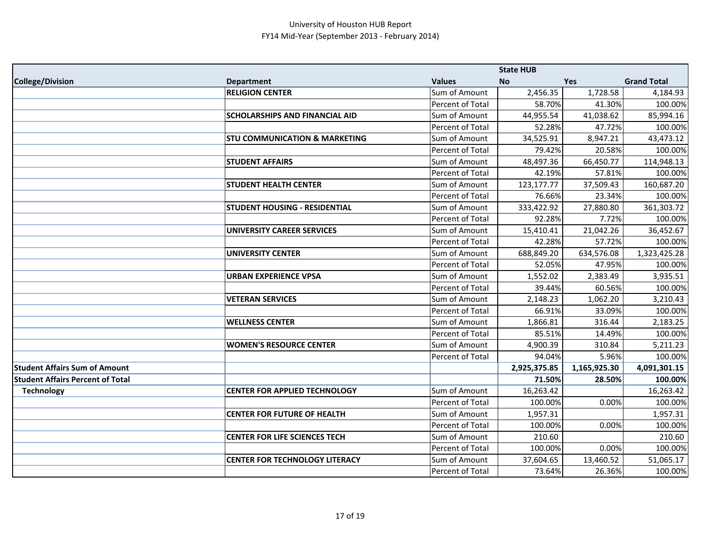|                                         |                                          |                         | <b>State HUB</b> |              |                    |
|-----------------------------------------|------------------------------------------|-------------------------|------------------|--------------|--------------------|
| <b>College/Division</b>                 | <b>Department</b>                        | <b>Values</b>           | <b>No</b>        | Yes          | <b>Grand Total</b> |
|                                         | <b>RELIGION CENTER</b>                   | Sum of Amount           | 2,456.35         | 1,728.58     | 4,184.93           |
|                                         |                                          | Percent of Total        | 58.70%           | 41.30%       | 100.00%            |
|                                         | <b>SCHOLARSHIPS AND FINANCIAL AID</b>    | Sum of Amount           | 44,955.54        | 41,038.62    | 85,994.16          |
|                                         |                                          | Percent of Total        | 52.28%           | 47.72%       | 100.00%            |
|                                         | <b>STU COMMUNICATION &amp; MARKETING</b> | Sum of Amount           | 34,525.91        | 8,947.21     | 43,473.12          |
|                                         |                                          | Percent of Total        | 79.42%           | 20.58%       | 100.00%            |
|                                         | <b>STUDENT AFFAIRS</b>                   | Sum of Amount           | 48,497.36        | 66,450.77    | 114,948.13         |
|                                         |                                          | Percent of Total        | 42.19%           | 57.81%       | 100.00%            |
|                                         | <b>STUDENT HEALTH CENTER</b>             | Sum of Amount           | 123,177.77       | 37,509.43    | 160,687.20         |
|                                         |                                          | Percent of Total        | 76.66%           | 23.34%       | 100.00%            |
|                                         | <b>STUDENT HOUSING - RESIDENTIAL</b>     | Sum of Amount           | 333,422.92       | 27,880.80    | 361,303.72         |
|                                         |                                          | Percent of Total        | 92.28%           | 7.72%        | 100.00%            |
|                                         | <b>UNIVERSITY CAREER SERVICES</b>        | Sum of Amount           | 15,410.41        | 21,042.26    | 36,452.67          |
|                                         |                                          | Percent of Total        | 42.28%           | 57.72%       | 100.00%            |
|                                         | <b>UNIVERSITY CENTER</b>                 | Sum of Amount           | 688,849.20       | 634,576.08   | 1,323,425.28       |
|                                         |                                          | Percent of Total        | 52.05%           | 47.95%       | 100.00%            |
|                                         | <b>URBAN EXPERIENCE VPSA</b>             | Sum of Amount           | 1,552.02         | 2,383.49     | 3,935.51           |
|                                         |                                          | Percent of Total        | 39.44%           | 60.56%       | 100.00%            |
|                                         | <b>VETERAN SERVICES</b>                  | Sum of Amount           | 2,148.23         | 1,062.20     | 3,210.43           |
|                                         |                                          | <b>Percent of Total</b> | 66.91%           | 33.09%       | 100.00%            |
|                                         | <b>WELLNESS CENTER</b>                   | Sum of Amount           | 1,866.81         | 316.44       | 2,183.25           |
|                                         |                                          | Percent of Total        | 85.51%           | 14.49%       | 100.00%            |
|                                         | <b>WOMEN'S RESOURCE CENTER</b>           | Sum of Amount           | 4,900.39         | 310.84       | 5,211.23           |
|                                         |                                          | Percent of Total        | 94.04%           | 5.96%        | 100.00%            |
| <b>Student Affairs Sum of Amount</b>    |                                          |                         | 2,925,375.85     | 1,165,925.30 | 4,091,301.15       |
| <b>Student Affairs Percent of Total</b> |                                          |                         | 71.50%           | 28.50%       | 100.00%            |
| <b>Technology</b>                       | <b>CENTER FOR APPLIED TECHNOLOGY</b>     | Sum of Amount           | 16,263.42        |              | 16,263.42          |
|                                         |                                          | Percent of Total        | 100.00%          | 0.00%        | 100.00%            |
|                                         | <b>CENTER FOR FUTURE OF HEALTH</b>       | Sum of Amount           | 1,957.31         |              | 1,957.31           |
|                                         |                                          | Percent of Total        | 100.00%          | 0.00%        | 100.00%            |
|                                         | <b>CENTER FOR LIFE SCIENCES TECH</b>     | Sum of Amount           | 210.60           |              | 210.60             |
|                                         |                                          | <b>Percent of Total</b> | 100.00%          | 0.00%        | 100.00%            |
|                                         | <b>CENTER FOR TECHNOLOGY LITERACY</b>    | Sum of Amount           | 37,604.65        | 13,460.52    | 51,065.17          |
|                                         |                                          | Percent of Total        | 73.64%           | 26.36%       | 100.00%            |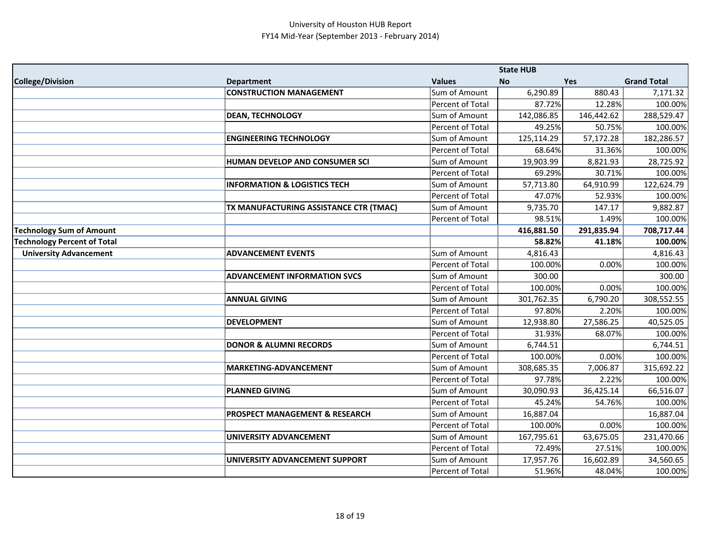|                                    |                                           |                  | <b>State HUB</b> |            |                    |
|------------------------------------|-------------------------------------------|------------------|------------------|------------|--------------------|
| <b>College/Division</b>            | <b>Department</b>                         | <b>Values</b>    | <b>No</b>        | Yes        | <b>Grand Total</b> |
|                                    | <b>CONSTRUCTION MANAGEMENT</b>            | Sum of Amount    | 6,290.89         | 880.43     | 7,171.32           |
|                                    |                                           | Percent of Total | 87.72%           | 12.28%     | 100.00%            |
|                                    | <b>DEAN, TECHNOLOGY</b>                   | Sum of Amount    | 142,086.85       | 146,442.62 | 288,529.47         |
|                                    |                                           | Percent of Total | 49.25%           | 50.75%     | 100.00%            |
|                                    | <b>ENGINEERING TECHNOLOGY</b>             | Sum of Amount    | 125,114.29       | 57,172.28  | 182,286.57         |
|                                    |                                           | Percent of Total | 68.64%           | 31.36%     | 100.00%            |
|                                    | HUMAN DEVELOP AND CONSUMER SCI            | Sum of Amount    | 19,903.99        | 8,821.93   | 28,725.92          |
|                                    |                                           | Percent of Total | 69.29%           | 30.71%     | 100.00%            |
|                                    | <b>INFORMATION &amp; LOGISTICS TECH</b>   | Sum of Amount    | 57,713.80        | 64,910.99  | 122,624.79         |
|                                    |                                           | Percent of Total | 47.07%           | 52.93%     | 100.00%            |
|                                    | TX MANUFACTURING ASSISTANCE CTR (TMAC)    | Sum of Amount    | 9,735.70         | 147.17     | 9,882.87           |
|                                    |                                           | Percent of Total | 98.51%           | 1.49%      | 100.00%            |
| <b>Technology Sum of Amount</b>    |                                           |                  | 416,881.50       | 291,835.94 | 708,717.44         |
| <b>Technology Percent of Total</b> |                                           |                  | 58.82%           | 41.18%     | 100.00%            |
| <b>University Advancement</b>      | <b>ADVANCEMENT EVENTS</b>                 | Sum of Amount    | 4,816.43         |            | 4,816.43           |
|                                    |                                           | Percent of Total | 100.00%          | 0.00%      | 100.00%            |
|                                    | <b>ADVANCEMENT INFORMATION SVCS</b>       | Sum of Amount    | 300.00           |            | 300.00             |
|                                    |                                           | Percent of Total | 100.00%          | 0.00%      | 100.00%            |
|                                    | <b>ANNUAL GIVING</b>                      | Sum of Amount    | 301,762.35       | 6,790.20   | 308,552.55         |
|                                    |                                           | Percent of Total | 97.80%           | 2.20%      | 100.00%            |
|                                    | <b>DEVELOPMENT</b>                        | Sum of Amount    | 12,938.80        | 27,586.25  | 40,525.05          |
|                                    |                                           | Percent of Total | 31.93%           | 68.07%     | 100.00%            |
|                                    | <b>DONOR &amp; ALUMNI RECORDS</b>         | Sum of Amount    | 6,744.51         |            | 6,744.51           |
|                                    |                                           | Percent of Total | 100.00%          | 0.00%      | 100.00%            |
|                                    | MARKETING-ADVANCEMENT                     | Sum of Amount    | 308,685.35       | 7,006.87   | 315,692.22         |
|                                    |                                           | Percent of Total | 97.78%           | 2.22%      | 100.00%            |
|                                    | <b>PLANNED GIVING</b>                     | Sum of Amount    | 30,090.93        | 36,425.14  | 66,516.07          |
|                                    |                                           | Percent of Total | 45.24%           | 54.76%     | 100.00%            |
|                                    | <b>PROSPECT MANAGEMENT &amp; RESEARCH</b> | Sum of Amount    | 16,887.04        |            | 16,887.04          |
|                                    |                                           | Percent of Total | 100.00%          | 0.00%      | 100.00%            |
|                                    | <b>UNIVERSITY ADVANCEMENT</b>             | Sum of Amount    | 167,795.61       | 63,675.05  | 231,470.66         |
|                                    |                                           | Percent of Total | 72.49%           | 27.51%     | 100.00%            |
|                                    | UNIVERSITY ADVANCEMENT SUPPORT            | Sum of Amount    | 17,957.76        | 16,602.89  | 34,560.65          |
|                                    |                                           | Percent of Total | 51.96%           | 48.04%     | 100.00%            |